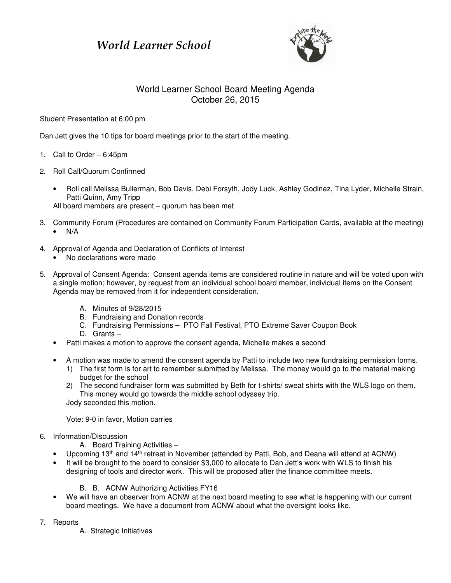## World Learner School



## World Learner School Board Meeting Agenda October 26, 2015

Student Presentation at 6:00 pm

Dan Jett gives the 10 tips for board meetings prior to the start of the meeting.

- 1. Call to Order 6:45pm
- 2. Roll Call/Quorum Confirmed
	- Roll call Melissa Bullerman, Bob Davis, Debi Forsyth, Jody Luck, Ashley Godinez, Tina Lyder, Michelle Strain, Patti Quinn, Amy Tripp

All board members are present – quorum has been met

- 3. Community Forum (Procedures are contained on Community Forum Participation Cards, available at the meeting)  $\bullet$  N/A
- 4. Approval of Agenda and Declaration of Conflicts of Interest
	- No declarations were made
- 5. Approval of Consent Agenda: Consent agenda items are considered routine in nature and will be voted upon with a single motion; however, by request from an individual school board member, individual items on the Consent Agenda may be removed from it for independent consideration.
	- A. Minutes of 9/28/2015
	- B. Fundraising and Donation records
	- C. Fundraising Permissions PTO Fall Festival, PTO Extreme Saver Coupon Book
	- D. Grants –
	- Patti makes a motion to approve the consent agenda, Michelle makes a second
	- A motion was made to amend the consent agenda by Patti to include two new fundraising permission forms.
		- 1) The first form is for art to remember submitted by Melissa. The money would go to the material making budget for the school
		- 2) The second fundraiser form was submitted by Beth for t-shirts/ sweat shirts with the WLS logo on them. This money would go towards the middle school odyssey trip. Jody seconded this motion.

Vote: 9-0 in favor, Motion carries

- 6. Information/Discussion
	- A. Board Training Activities –
	- Upcoming 13<sup>th</sup> and 14<sup>th</sup> retreat in November (attended by Patti, Bob, and Deana will attend at ACNW)
	- It will be brought to the board to consider \$3,000 to allocate to Dan Jett's work with WLS to finish his designing of tools and director work. This will be proposed after the finance committee meets.
		- B. B. ACNW Authorizing Activities FY16
	- We will have an observer from ACNW at the next board meeting to see what is happening with our current board meetings. We have a document from ACNW about what the oversight looks like.
- 7. Reports
	- A. Strategic Initiatives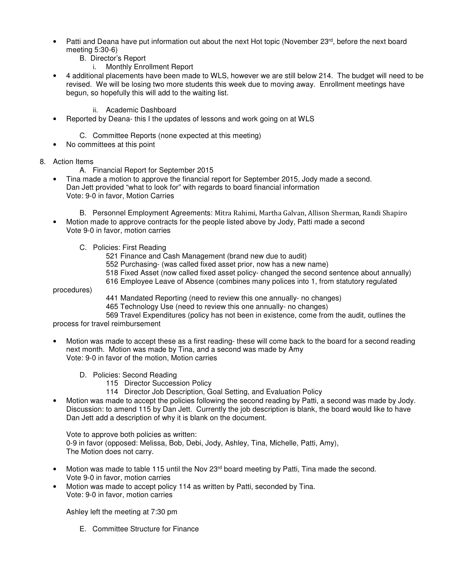- Patti and Deana have put information out about the next Hot topic (November  $23^{rd}$ , before the next board meeting 5:30-6)
	- B. Director's Report
		- i. Monthly Enrollment Report
- 4 additional placements have been made to WLS, however we are still below 214. The budget will need to be revised. We will be losing two more students this week due to moving away. Enrollment meetings have begun, so hopefully this will add to the waiting list.
	- ii. Academic Dashboard
- Reported by Deana- this I the updates of lessons and work going on at WLS
	- C. Committee Reports (none expected at this meeting)
- No committees at this point
- 8. Action Items
	- A. Financial Report for September 2015
	- Tina made a motion to approve the financial report for September 2015, Jody made a second. Dan Jett provided "what to look for" with regards to board financial information Vote: 9-0 in favor, Motion Carries
		- B. Personnel Employment Agreements: Mitra Rahimi, Martha Galvan, Allison Sherman, Randi Shapiro
	- Motion made to approve contracts for the people listed above by Jody, Patti made a second Vote 9-0 in favor, motion carries
		- C. Policies: First Reading
			- 521 Finance and Cash Management (brand new due to audit)
			- 552 Purchasing- (was called fixed asset prior, now has a new name)
			- 518 Fixed Asset (now called fixed asset policy- changed the second sentence about annually)
			- 616 Employee Leave of Absence (combines many polices into 1, from statutory regulated

procedures)

- 441 Mandated Reporting (need to review this one annually- no changes)
- 465 Technology Use (need to review this one annually- no changes)
- 569 Travel Expenditures (policy has not been in existence, come from the audit, outlines the

process for travel reimbursement

- Motion was made to accept these as a first reading- these will come back to the board for a second reading next month. Motion was made by Tina, and a second was made by Amy Vote: 9-0 in favor of the motion, Motion carries
	- D. Policies: Second Reading
		- 115 Director Succession Policy
		- 114 Director Job Description, Goal Setting, and Evaluation Policy
- Motion was made to accept the policies following the second reading by Patti, a second was made by Jody. Discussion: to amend 115 by Dan Jett. Currently the job description is blank, the board would like to have Dan Jett add a description of why it is blank on the document.

Vote to approve both policies as written: 0-9 in favor (opposed: Melissa, Bob, Debi, Jody, Ashley, Tina, Michelle, Patti, Amy), The Motion does not carry.

- Motion was made to table 115 until the Nov 23rd board meeting by Patti, Tina made the second. Vote 9-0 in favor, motion carries
- Motion was made to accept policy 114 as written by Patti, seconded by Tina. Vote: 9-0 in favor, motion carries

Ashley left the meeting at 7:30 pm

E. Committee Structure for Finance